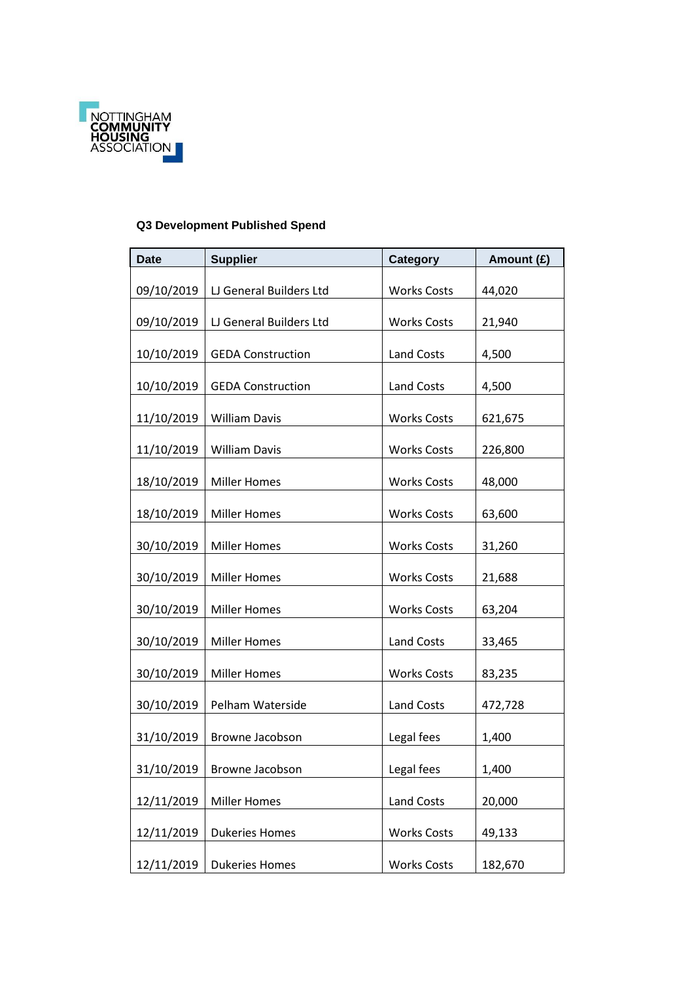

## **Q3 Development Published Spend**

| <b>Date</b> | <b>Supplier</b>          | Category           | Amount (£) |
|-------------|--------------------------|--------------------|------------|
| 09/10/2019  | LJ General Builders Ltd  | <b>Works Costs</b> | 44,020     |
| 09/10/2019  | LJ General Builders Ltd  | <b>Works Costs</b> | 21,940     |
| 10/10/2019  | <b>GEDA Construction</b> | Land Costs         | 4,500      |
| 10/10/2019  | <b>GEDA Construction</b> | <b>Land Costs</b>  | 4,500      |
| 11/10/2019  | <b>William Davis</b>     | <b>Works Costs</b> | 621,675    |
| 11/10/2019  | <b>William Davis</b>     | <b>Works Costs</b> | 226,800    |
| 18/10/2019  | <b>Miller Homes</b>      | <b>Works Costs</b> | 48,000     |
| 18/10/2019  | <b>Miller Homes</b>      | <b>Works Costs</b> | 63,600     |
| 30/10/2019  | <b>Miller Homes</b>      | <b>Works Costs</b> | 31,260     |
| 30/10/2019  | <b>Miller Homes</b>      | <b>Works Costs</b> | 21,688     |
| 30/10/2019  | <b>Miller Homes</b>      | <b>Works Costs</b> | 63,204     |
| 30/10/2019  | <b>Miller Homes</b>      | <b>Land Costs</b>  | 33,465     |
| 30/10/2019  | <b>Miller Homes</b>      | <b>Works Costs</b> | 83,235     |
| 30/10/2019  | Pelham Waterside         | <b>Land Costs</b>  | 472,728    |
| 31/10/2019  | Browne Jacobson          | Legal fees         | 1,400      |
| 31/10/2019  | Browne Jacobson          | Legal fees         | 1,400      |
| 12/11/2019  | <b>Miller Homes</b>      | <b>Land Costs</b>  | 20,000     |
| 12/11/2019  | <b>Dukeries Homes</b>    | <b>Works Costs</b> | 49,133     |
| 12/11/2019  | <b>Dukeries Homes</b>    | <b>Works Costs</b> | 182,670    |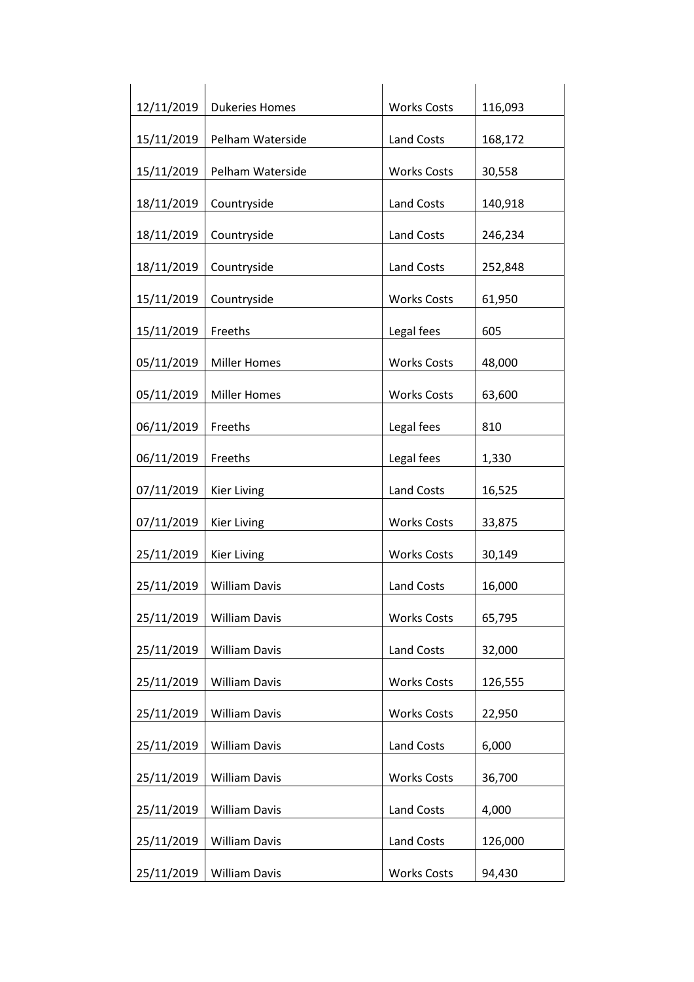| 12/11/2019 | <b>Dukeries Homes</b> | <b>Works Costs</b> | 116,093 |
|------------|-----------------------|--------------------|---------|
| 15/11/2019 | Pelham Waterside      | Land Costs         | 168,172 |
| 15/11/2019 | Pelham Waterside      | <b>Works Costs</b> | 30,558  |
| 18/11/2019 | Countryside           | <b>Land Costs</b>  | 140,918 |
| 18/11/2019 | Countryside           | <b>Land Costs</b>  | 246,234 |
| 18/11/2019 | Countryside           | Land Costs         | 252,848 |
| 15/11/2019 | Countryside           | <b>Works Costs</b> | 61,950  |
| 15/11/2019 | Freeths               | Legal fees         | 605     |
| 05/11/2019 | <b>Miller Homes</b>   | <b>Works Costs</b> | 48,000  |
| 05/11/2019 | <b>Miller Homes</b>   | <b>Works Costs</b> | 63,600  |
| 06/11/2019 | Freeths               | Legal fees         | 810     |
| 06/11/2019 | Freeths               | Legal fees         | 1,330   |
| 07/11/2019 | <b>Kier Living</b>    | <b>Land Costs</b>  | 16,525  |
| 07/11/2019 | <b>Kier Living</b>    | <b>Works Costs</b> | 33,875  |
| 25/11/2019 | <b>Kier Living</b>    | <b>Works Costs</b> | 30,149  |
| 25/11/2019 | <b>William Davis</b>  | <b>Land Costs</b>  | 16,000  |
| 25/11/2019 | <b>William Davis</b>  | <b>Works Costs</b> | 65,795  |
| 25/11/2019 | <b>William Davis</b>  | <b>Land Costs</b>  | 32,000  |
| 25/11/2019 | <b>William Davis</b>  | <b>Works Costs</b> | 126,555 |
| 25/11/2019 | <b>William Davis</b>  | <b>Works Costs</b> | 22,950  |
| 25/11/2019 | <b>William Davis</b>  | Land Costs         | 6,000   |
| 25/11/2019 | <b>William Davis</b>  | <b>Works Costs</b> | 36,700  |
| 25/11/2019 | <b>William Davis</b>  | <b>Land Costs</b>  | 4,000   |
| 25/11/2019 | <b>William Davis</b>  | Land Costs         | 126,000 |
| 25/11/2019 | <b>William Davis</b>  | <b>Works Costs</b> | 94,430  |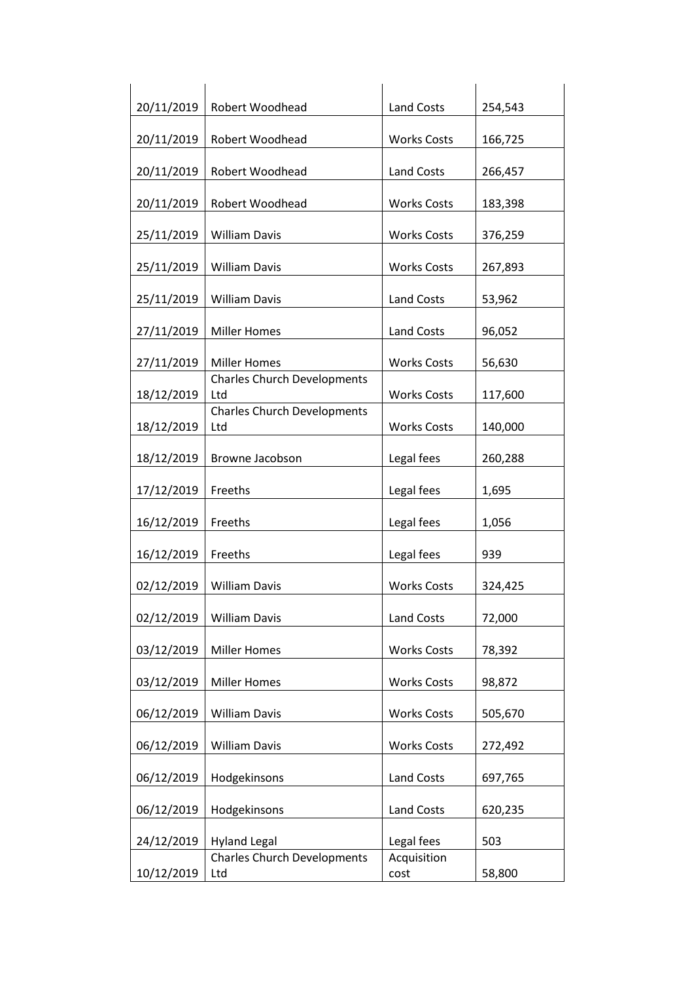| 20/11/2019 | Robert Woodhead                           | Land Costs          | 254,543 |
|------------|-------------------------------------------|---------------------|---------|
| 20/11/2019 | Robert Woodhead                           | <b>Works Costs</b>  | 166,725 |
| 20/11/2019 | Robert Woodhead                           | <b>Land Costs</b>   | 266,457 |
| 20/11/2019 | Robert Woodhead                           | <b>Works Costs</b>  | 183,398 |
| 25/11/2019 | <b>William Davis</b>                      | <b>Works Costs</b>  | 376,259 |
| 25/11/2019 | <b>William Davis</b>                      | <b>Works Costs</b>  | 267,893 |
| 25/11/2019 | <b>William Davis</b>                      | <b>Land Costs</b>   | 53,962  |
|            |                                           |                     |         |
| 27/11/2019 | <b>Miller Homes</b>                       | Land Costs          | 96,052  |
| 27/11/2019 | <b>Miller Homes</b>                       | <b>Works Costs</b>  | 56,630  |
| 18/12/2019 | <b>Charles Church Developments</b><br>Ltd | <b>Works Costs</b>  | 117,600 |
| 18/12/2019 | <b>Charles Church Developments</b><br>Ltd | <b>Works Costs</b>  | 140,000 |
| 18/12/2019 | Browne Jacobson                           | Legal fees          | 260,288 |
| 17/12/2019 | Freeths                                   | Legal fees          | 1,695   |
|            |                                           |                     |         |
| 16/12/2019 | Freeths                                   | Legal fees          | 1,056   |
| 16/12/2019 | Freeths                                   | Legal fees          | 939     |
| 02/12/2019 | <b>William Davis</b>                      | <b>Works Costs</b>  | 324,425 |
| 02/12/2019 | <b>William Davis</b>                      | <b>Land Costs</b>   | 72,000  |
| 03/12/2019 | <b>Miller Homes</b>                       | <b>Works Costs</b>  | 78,392  |
| 03/12/2019 | <b>Miller Homes</b>                       | <b>Works Costs</b>  | 98,872  |
| 06/12/2019 | <b>William Davis</b>                      | <b>Works Costs</b>  | 505,670 |
| 06/12/2019 | <b>William Davis</b>                      | <b>Works Costs</b>  | 272,492 |
| 06/12/2019 | Hodgekinsons                              | <b>Land Costs</b>   | 697,765 |
| 06/12/2019 | Hodgekinsons                              | <b>Land Costs</b>   | 620,235 |
|            |                                           |                     |         |
| 24/12/2019 | <b>Hyland Legal</b>                       | Legal fees          | 503     |
| 10/12/2019 | <b>Charles Church Developments</b><br>Ltd | Acquisition<br>cost | 58,800  |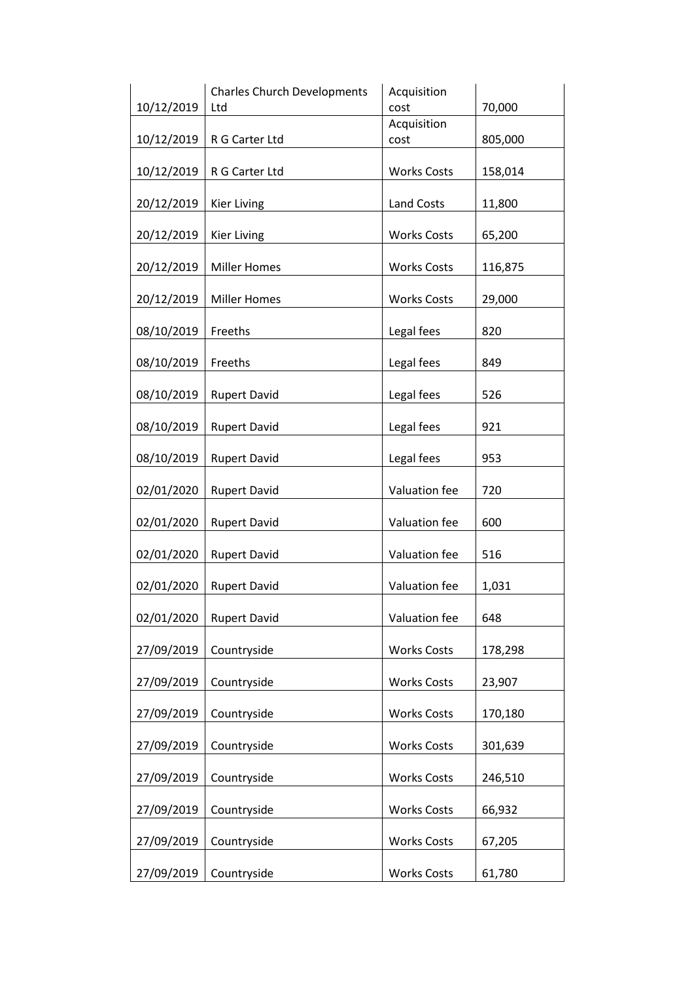|            | <b>Charles Church Developments</b> | Acquisition        |         |
|------------|------------------------------------|--------------------|---------|
| 10/12/2019 | Ltd                                | cost               | 70,000  |
|            |                                    | Acquisition        |         |
| 10/12/2019 | R G Carter Ltd                     | cost               | 805,000 |
| 10/12/2019 | R G Carter Ltd                     | <b>Works Costs</b> | 158,014 |
|            |                                    |                    |         |
| 20/12/2019 | <b>Kier Living</b>                 | Land Costs         | 11,800  |
|            |                                    |                    |         |
| 20/12/2019 | <b>Kier Living</b>                 | <b>Works Costs</b> | 65,200  |
|            |                                    |                    |         |
| 20/12/2019 | <b>Miller Homes</b>                | <b>Works Costs</b> | 116,875 |
|            |                                    |                    |         |
| 20/12/2019 | <b>Miller Homes</b>                | <b>Works Costs</b> | 29,000  |
|            | Freeths                            |                    | 820     |
| 08/10/2019 |                                    | Legal fees         |         |
| 08/10/2019 | Freeths                            | Legal fees         | 849     |
|            |                                    |                    |         |
| 08/10/2019 | <b>Rupert David</b>                | Legal fees         | 526     |
|            |                                    |                    |         |
| 08/10/2019 | <b>Rupert David</b>                | Legal fees         | 921     |
|            |                                    |                    |         |
| 08/10/2019 | <b>Rupert David</b>                | Legal fees         | 953     |
|            |                                    |                    |         |
| 02/01/2020 | <b>Rupert David</b>                | Valuation fee      | 720     |
|            |                                    |                    |         |
| 02/01/2020 | <b>Rupert David</b>                | Valuation fee      | 600     |
| 02/01/2020 | <b>Rupert David</b>                | Valuation fee      | 516     |
|            |                                    |                    |         |
| 02/01/2020 | <b>Rupert David</b>                | Valuation fee      | 1,031   |
|            |                                    |                    |         |
| 02/01/2020 | <b>Rupert David</b>                | Valuation fee      | 648     |
|            |                                    |                    |         |
| 27/09/2019 | Countryside                        | <b>Works Costs</b> | 178,298 |
|            |                                    |                    |         |
| 27/09/2019 | Countryside                        | <b>Works Costs</b> | 23,907  |
| 27/09/2019 | Countryside                        | <b>Works Costs</b> | 170,180 |
|            |                                    |                    |         |
| 27/09/2019 | Countryside                        | <b>Works Costs</b> | 301,639 |
|            |                                    |                    |         |
| 27/09/2019 | Countryside                        | <b>Works Costs</b> | 246,510 |
|            |                                    |                    |         |
| 27/09/2019 | Countryside                        | <b>Works Costs</b> | 66,932  |
|            |                                    |                    |         |
| 27/09/2019 | Countryside                        | <b>Works Costs</b> | 67,205  |
|            |                                    |                    |         |
| 27/09/2019 | Countryside                        | <b>Works Costs</b> | 61,780  |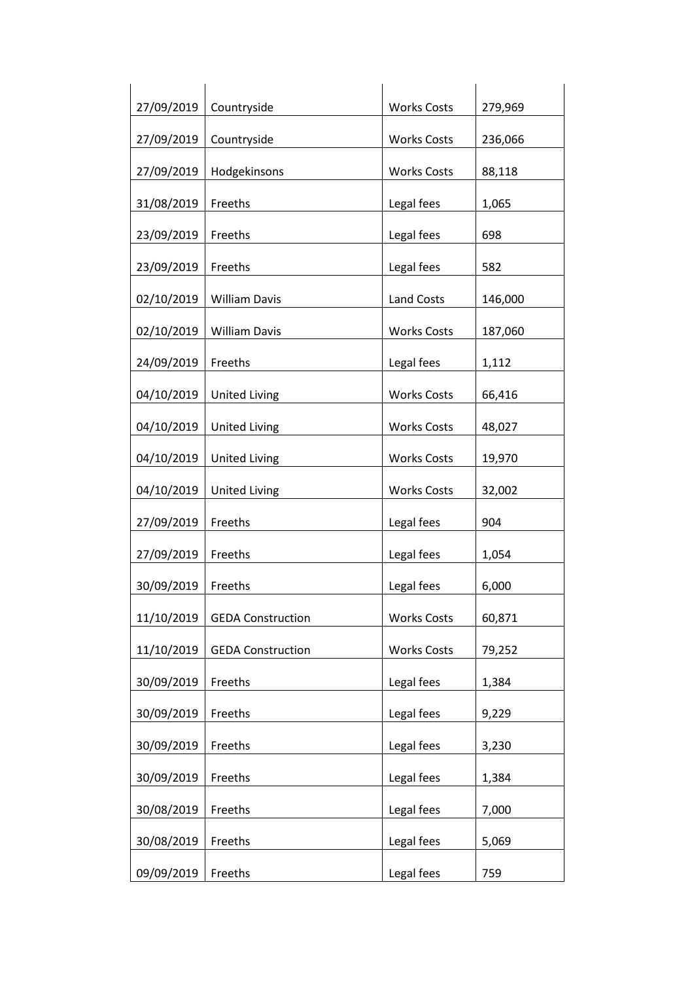| 27/09/2019 | Countryside              | <b>Works Costs</b> | 279,969 |
|------------|--------------------------|--------------------|---------|
| 27/09/2019 | Countryside              | <b>Works Costs</b> | 236,066 |
| 27/09/2019 | Hodgekinsons             | <b>Works Costs</b> | 88,118  |
| 31/08/2019 | Freeths                  | Legal fees         | 1,065   |
| 23/09/2019 | Freeths                  | Legal fees         | 698     |
| 23/09/2019 | Freeths                  | Legal fees         | 582     |
| 02/10/2019 | <b>William Davis</b>     | <b>Land Costs</b>  | 146,000 |
| 02/10/2019 | <b>William Davis</b>     | <b>Works Costs</b> | 187,060 |
| 24/09/2019 | Freeths                  | Legal fees         | 1,112   |
| 04/10/2019 | <b>United Living</b>     | <b>Works Costs</b> | 66,416  |
| 04/10/2019 | <b>United Living</b>     | <b>Works Costs</b> | 48,027  |
| 04/10/2019 | <b>United Living</b>     | <b>Works Costs</b> | 19,970  |
| 04/10/2019 | <b>United Living</b>     | <b>Works Costs</b> | 32,002  |
| 27/09/2019 | Freeths                  | Legal fees         | 904     |
| 27/09/2019 | Freeths                  | Legal fees         | 1,054   |
| 30/09/2019 | Freeths                  | Legal fees         | 6,000   |
| 11/10/2019 | <b>GEDA Construction</b> | <b>Works Costs</b> | 60,871  |
| 11/10/2019 | <b>GEDA Construction</b> | <b>Works Costs</b> | 79,252  |
| 30/09/2019 | Freeths                  | Legal fees         | 1,384   |
| 30/09/2019 | Freeths                  | Legal fees         | 9,229   |
| 30/09/2019 | Freeths                  | Legal fees         | 3,230   |
| 30/09/2019 | Freeths                  | Legal fees         | 1,384   |
| 30/08/2019 | Freeths                  | Legal fees         | 7,000   |
| 30/08/2019 | Freeths                  | Legal fees         | 5,069   |
| 09/09/2019 | Freeths                  | Legal fees         | 759     |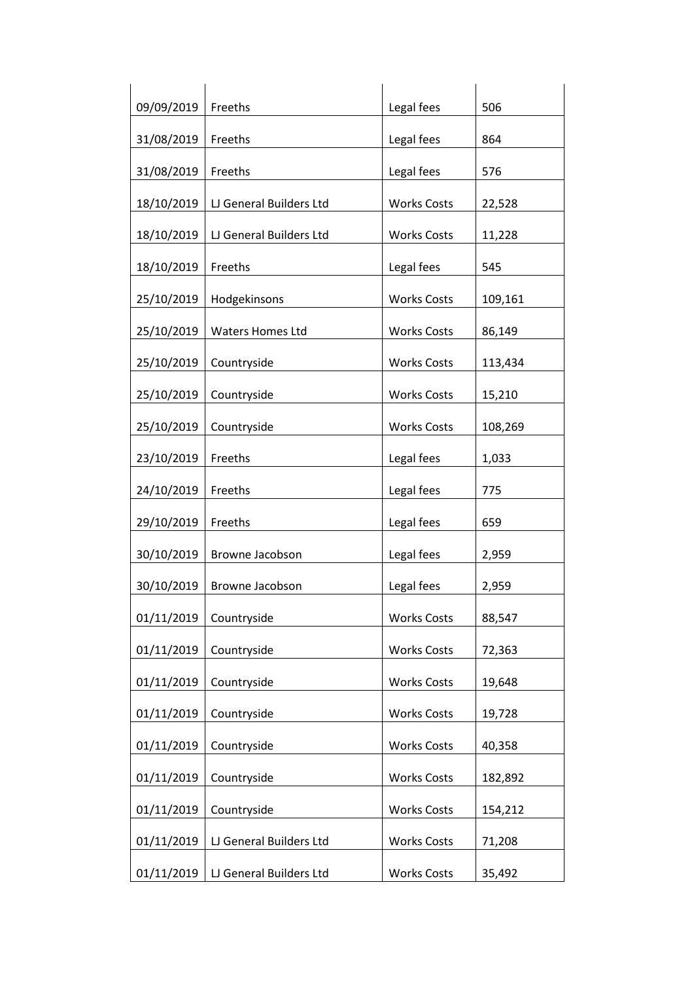| 09/09/2019 | Freeths                 | Legal fees         | 506     |
|------------|-------------------------|--------------------|---------|
| 31/08/2019 | Freeths                 | Legal fees         | 864     |
| 31/08/2019 | Freeths                 | Legal fees         | 576     |
| 18/10/2019 | LJ General Builders Ltd | <b>Works Costs</b> | 22,528  |
| 18/10/2019 | LJ General Builders Ltd | <b>Works Costs</b> | 11,228  |
| 18/10/2019 | Freeths                 | Legal fees         | 545     |
| 25/10/2019 | Hodgekinsons            | <b>Works Costs</b> | 109,161 |
| 25/10/2019 | <b>Waters Homes Ltd</b> | <b>Works Costs</b> | 86,149  |
| 25/10/2019 | Countryside             | <b>Works Costs</b> | 113,434 |
| 25/10/2019 | Countryside             | <b>Works Costs</b> | 15,210  |
| 25/10/2019 | Countryside             | <b>Works Costs</b> | 108,269 |
| 23/10/2019 | Freeths                 | Legal fees         | 1,033   |
| 24/10/2019 | Freeths                 | Legal fees         | 775     |
|            | Freeths                 |                    | 659     |
| 29/10/2019 |                         | Legal fees         |         |
| 30/10/2019 | Browne Jacobson         | Legal fees         | 2,959   |
| 30/10/2019 | Browne Jacobson         | Legal fees         | 2,959   |
| 01/11/2019 | Countryside             | <b>Works Costs</b> | 88,547  |
| 01/11/2019 | Countryside             | <b>Works Costs</b> | 72,363  |
| 01/11/2019 | Countryside             | <b>Works Costs</b> | 19,648  |
| 01/11/2019 | Countryside             | <b>Works Costs</b> | 19,728  |
| 01/11/2019 | Countryside             | <b>Works Costs</b> | 40,358  |
| 01/11/2019 | Countryside             | <b>Works Costs</b> | 182,892 |
| 01/11/2019 | Countryside             | <b>Works Costs</b> | 154,212 |
| 01/11/2019 | LJ General Builders Ltd | <b>Works Costs</b> | 71,208  |
| 01/11/2019 | LJ General Builders Ltd | <b>Works Costs</b> | 35,492  |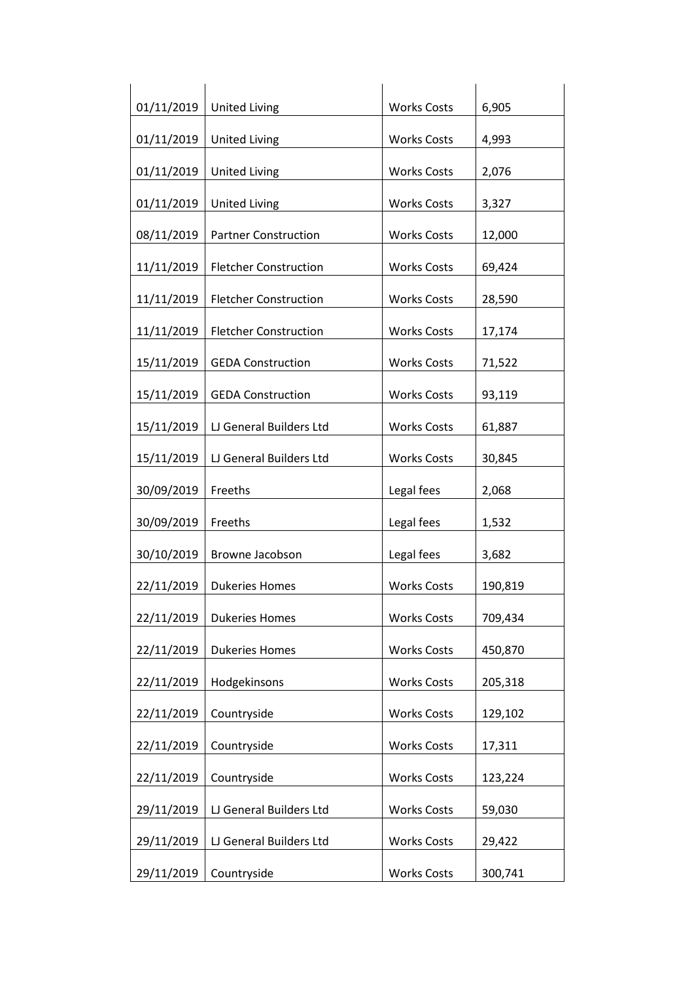| 01/11/2019 | <b>United Living</b>         | <b>Works Costs</b> | 6,905   |
|------------|------------------------------|--------------------|---------|
| 01/11/2019 |                              | <b>Works Costs</b> |         |
|            | <b>United Living</b>         |                    | 4,993   |
| 01/11/2019 | <b>United Living</b>         | <b>Works Costs</b> | 2,076   |
| 01/11/2019 | <b>United Living</b>         | <b>Works Costs</b> | 3,327   |
| 08/11/2019 | <b>Partner Construction</b>  | <b>Works Costs</b> | 12,000  |
| 11/11/2019 | <b>Fletcher Construction</b> | <b>Works Costs</b> | 69,424  |
| 11/11/2019 | <b>Fletcher Construction</b> | <b>Works Costs</b> | 28,590  |
| 11/11/2019 | <b>Fletcher Construction</b> | <b>Works Costs</b> | 17,174  |
| 15/11/2019 | <b>GEDA Construction</b>     | <b>Works Costs</b> | 71,522  |
| 15/11/2019 | <b>GEDA Construction</b>     | <b>Works Costs</b> | 93,119  |
| 15/11/2019 | LJ General Builders Ltd      | <b>Works Costs</b> | 61,887  |
| 15/11/2019 | LJ General Builders Ltd      | <b>Works Costs</b> | 30,845  |
| 30/09/2019 | Freeths                      | Legal fees         | 2,068   |
| 30/09/2019 | Freeths                      | Legal fees         | 1,532   |
| 30/10/2019 | Browne Jacobson              | Legal fees         | 3,682   |
| 22/11/2019 | <b>Dukeries Homes</b>        | <b>Works Costs</b> | 190,819 |
| 22/11/2019 | <b>Dukeries Homes</b>        | <b>Works Costs</b> | 709,434 |
| 22/11/2019 | <b>Dukeries Homes</b>        | <b>Works Costs</b> | 450,870 |
| 22/11/2019 | Hodgekinsons                 | <b>Works Costs</b> | 205,318 |
| 22/11/2019 | Countryside                  | <b>Works Costs</b> | 129,102 |
| 22/11/2019 | Countryside                  | <b>Works Costs</b> | 17,311  |
| 22/11/2019 | Countryside                  | <b>Works Costs</b> | 123,224 |
| 29/11/2019 | LJ General Builders Ltd      | <b>Works Costs</b> | 59,030  |
| 29/11/2019 | LJ General Builders Ltd      | <b>Works Costs</b> | 29,422  |
|            |                              |                    |         |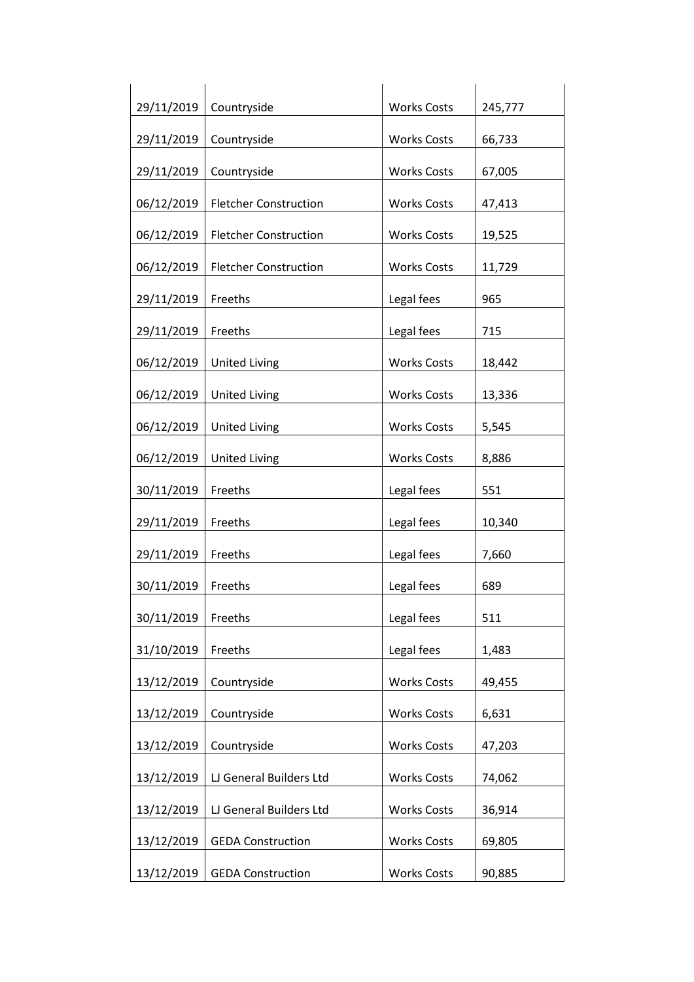| 29/11/2019 | Countryside                  | <b>Works Costs</b> | 245,777 |
|------------|------------------------------|--------------------|---------|
| 29/11/2019 | Countryside                  | <b>Works Costs</b> | 66,733  |
| 29/11/2019 | Countryside                  | <b>Works Costs</b> | 67,005  |
| 06/12/2019 | <b>Fletcher Construction</b> | <b>Works Costs</b> | 47,413  |
| 06/12/2019 | <b>Fletcher Construction</b> | <b>Works Costs</b> | 19,525  |
| 06/12/2019 | <b>Fletcher Construction</b> | <b>Works Costs</b> | 11,729  |
|            | Freeths                      |                    |         |
| 29/11/2019 |                              | Legal fees         | 965     |
| 29/11/2019 | Freeths                      | Legal fees         | 715     |
| 06/12/2019 | <b>United Living</b>         | <b>Works Costs</b> | 18,442  |
| 06/12/2019 | <b>United Living</b>         | <b>Works Costs</b> | 13,336  |
| 06/12/2019 | <b>United Living</b>         | <b>Works Costs</b> | 5,545   |
| 06/12/2019 | <b>United Living</b>         | <b>Works Costs</b> | 8,886   |
| 30/11/2019 | Freeths                      | Legal fees         | 551     |
| 29/11/2019 | Freeths                      | Legal fees         | 10,340  |
| 29/11/2019 | Freeths                      | Legal fees         | 7,660   |
| 30/11/2019 | Freeths                      | Legal fees         | 689     |
| 30/11/2019 | Freeths                      | Legal fees         | 511     |
| 31/10/2019 | Freeths                      | Legal fees         | 1,483   |
| 13/12/2019 | Countryside                  | <b>Works Costs</b> | 49,455  |
| 13/12/2019 | Countryside                  | <b>Works Costs</b> | 6,631   |
| 13/12/2019 | Countryside                  | <b>Works Costs</b> | 47,203  |
| 13/12/2019 | LJ General Builders Ltd      | <b>Works Costs</b> | 74,062  |
| 13/12/2019 | LJ General Builders Ltd      | <b>Works Costs</b> | 36,914  |
| 13/12/2019 | <b>GEDA Construction</b>     | <b>Works Costs</b> | 69,805  |
| 13/12/2019 | <b>GEDA Construction</b>     | <b>Works Costs</b> | 90,885  |